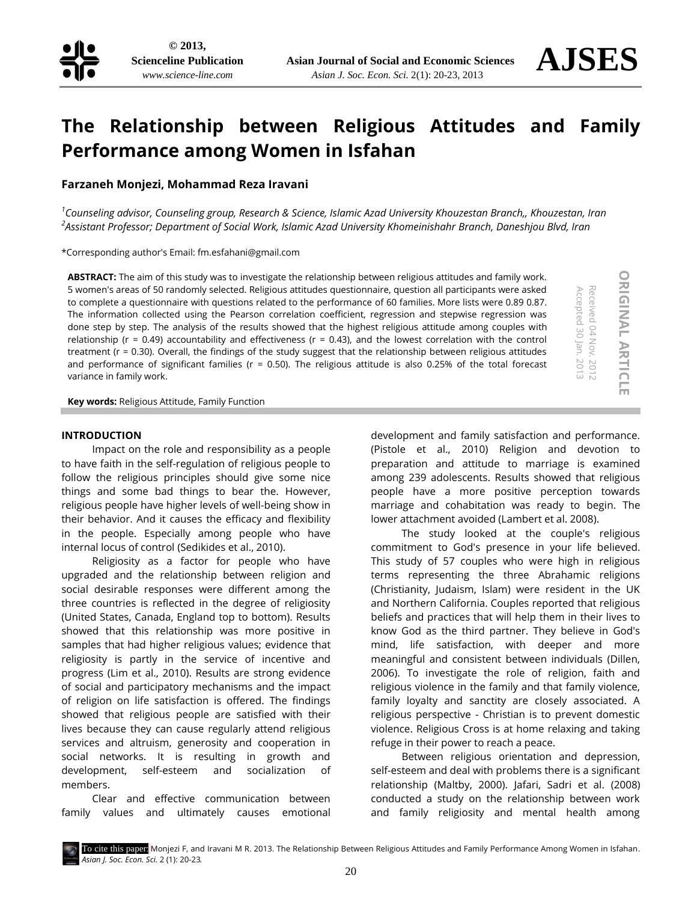**ORIGINAL**

**ORIGINAL ARTICLE** 

Received 04 Nov. 2012 Accepted 30 Jan. 2013

- 2012

Accepted 30 Jan. 2013 Received 04 Nov.

**ARTICLE**

# **The Relationship between Religious Attitudes and Family Performance among Women in Isfahan**

**Farzaneh Monjezi, Mohammad Reza Iravani**

*1 Counseling advisor, Counseling group, Research & Science, Islamic Azad University Khouzestan Branch,, Khouzestan, Iran 2 Assistant Professor; Department of Social Work, Islamic Azad University Khomeinishahr Branch, Daneshjou Blvd, Iran*

\*Corresponding author's Email: [fm.esfahani@gmail.com](mailto:fm.esfahani@gmail.com)

**ABSTRACT:** The aim of this study was to investigate the relationship between religious attitudes and family work. 5 women's areas of 50 randomly selected. Religious attitudes questionnaire, question all participants were asked to complete a questionnaire with questions related to the performance of 60 families. More lists were 0.89 0.87. The information collected using the Pearson correlation coefficient, regression and stepwise regression was done step by step. The analysis of the results showed that the highest religious attitude among couples with relationship ( $r = 0.49$ ) accountability and effectiveness ( $r = 0.43$ ), and the lowest correlation with the control treatment (r = 0.30). Overall, the findings of the study suggest that the relationship between religious attitudes and performance of significant families ( $r = 0.50$ ). The religious attitude is also 0.25% of the total forecast variance in family work.

**Key words:** Religious Attitude, Family Function

## **INTRODUCTION**

Impact on the role and responsibility as a people to have faith in the self-regulation of religious people to follow the religious principles should give some nice things and some bad things to bear the. However, religious people have higher levels of well-being show in their behavior. And it causes the efficacy and flexibility in the people. Especially among people who have internal locus of control (Sedikides et al., 2010).

Religiosity as a factor for people who have upgraded and the relationship between religion and social desirable responses were different among the three countries is reflected in the degree of religiosity (United States, Canada, England top to bottom). Results showed that this relationship was more positive in samples that had higher religious values; evidence that religiosity is partly in the service of incentive and progress (Lim et al., 2010). Results are strong evidence of social and participatory mechanisms and the impact of religion on life satisfaction is offered. The findings showed that religious people are satisfied with their lives because they can cause regularly attend religious services and altruism, generosity and cooperation in social networks. It is resulting in growth and development, self-esteem and socialization of members.

Clear and effective communication between family values and ultimately causes emotional

development and family satisfaction and performance. (Pistole et al., 2010) Religion and devotion to preparation and attitude to marriage is examined among 239 adolescents. Results showed that religious people have a more positive perception towards marriage and cohabitation was ready to begin. The lower attachment avoided (Lambert et al. 2008).

The study looked at the couple's religious commitment to God's presence in your life believed. This study of 57 couples who were high in religious terms representing the three Abrahamic religions (Christianity, Judaism, Islam) were resident in the UK and Northern California. Couples reported that religious beliefs and practices that will help them in their lives to know God as the third partner. They believe in God's mind, life satisfaction, with deeper and more meaningful and consistent between individuals (Dillen, 2006). To investigate the role of religion, faith and religious violence in the family and that family violence, family loyalty and sanctity are closely associated. A religious perspective - Christian is to prevent domestic violence. Religious Cross is at home relaxing and taking refuge in their power to reach a peace.

Between religious orientation and depression, self-esteem and deal with problems there is a significant relationship (Maltby, 2000). Jafari, Sadri et al. (2008) conducted a study on the relationship between work and family religiosity and mental health among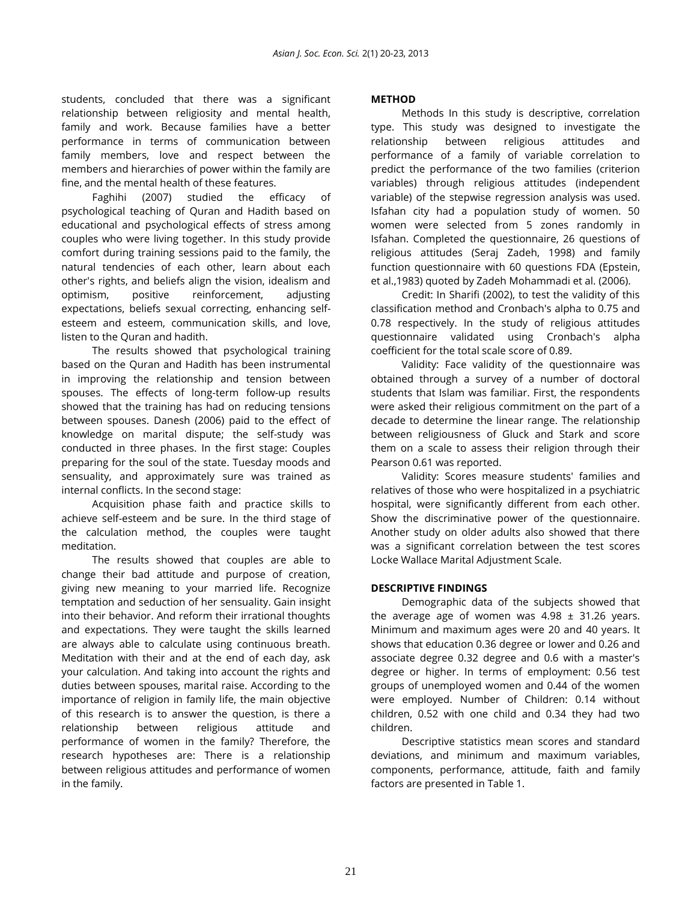students, concluded that there was a significant relationship between religiosity and mental health, family and work. Because families have a better performance in terms of communication between family members, love and respect between the members and hierarchies of power within the family are fine, and the mental health of these features.

Faghihi (2007) studied the efficacy of psychological teaching of Quran and Hadith based on educational and psychological effects of stress among couples who were living together. In this study provide comfort during training sessions paid to the family, the natural tendencies of each other, learn about each other's rights, and beliefs align the vision, idealism and optimism, positive reinforcement, adjusting expectations, beliefs sexual correcting, enhancing selfesteem and esteem, communication skills, and love, listen to the Quran and hadith.

The results showed that psychological training based on the Quran and Hadith has been instrumental in improving the relationship and tension between spouses. The effects of long-term follow-up results showed that the training has had on reducing tensions between spouses. Danesh (2006) paid to the effect of knowledge on marital dispute; the self-study was conducted in three phases. In the first stage: Couples preparing for the soul of the state. Tuesday moods and sensuality, and approximately sure was trained as internal conflicts. In the second stage:

Acquisition phase faith and practice skills to achieve self-esteem and be sure. In the third stage of the calculation method, the couples were taught meditation.

The results showed that couples are able to change their bad attitude and purpose of creation, giving new meaning to your married life. Recognize temptation and seduction of her sensuality. Gain insight into their behavior. And reform their irrational thoughts and expectations. They were taught the skills learned are always able to calculate using continuous breath. Meditation with their and at the end of each day, ask your calculation. And taking into account the rights and duties between spouses, marital raise. According to the importance of religion in family life, the main objective of this research is to answer the question, is there a relationship between religious attitude and performance of women in the family? Therefore, the research hypotheses are: There is a relationship between religious attitudes and performance of women in the family.

## **METHOD**

Methods In this study is descriptive, correlation type. This study was designed to investigate the relationship between religious attitudes and performance of a family of variable correlation to predict the performance of the two families (criterion variables) through religious attitudes (independent variable) of the stepwise regression analysis was used. Isfahan city had a population study of women. 50 women were selected from 5 zones randomly in Isfahan. Completed the questionnaire, 26 questions of religious attitudes (Seraj Zadeh, 1998) and family function questionnaire with 60 questions FDA (Epstein, et al.,1983) quoted by Zadeh Mohammadi et al. (2006).

Credit: In Sharifi (2002), to test the validity of this classification method and Cronbach's alpha to 0.75 and 0.78 respectively. In the study of religious attitudes questionnaire validated using Cronbach's alpha coefficient for the total scale score of 0.89.

Validity: Face validity of the questionnaire was obtained through a survey of a number of doctoral students that Islam was familiar. First, the respondents were asked their religious commitment on the part of a decade to determine the linear range. The relationship between religiousness of Gluck and Stark and score them on a scale to assess their religion through their Pearson 0.61 was reported.

Validity: Scores measure students' families and relatives of those who were hospitalized in a psychiatric hospital, were significantly different from each other. Show the discriminative power of the questionnaire. Another study on older adults also showed that there was a significant correlation between the test scores Locke Wallace Marital Adjustment Scale.

## **DESCRIPTIVE FINDINGS**

Demographic data of the subjects showed that the average age of women was  $4.98 \pm 31.26$  years. Minimum and maximum ages were 20 and 40 years. It shows that education 0.36 degree or lower and 0.26 and associate degree 0.32 degree and 0.6 with a master's degree or higher. In terms of employment: 0.56 test groups of unemployed women and 0.44 of the women were employed. Number of Children: 0.14 without children, 0.52 with one child and 0.34 they had two children.

Descriptive statistics mean scores and standard deviations, and minimum and maximum variables, components, performance, attitude, faith and family factors are presented in Table 1.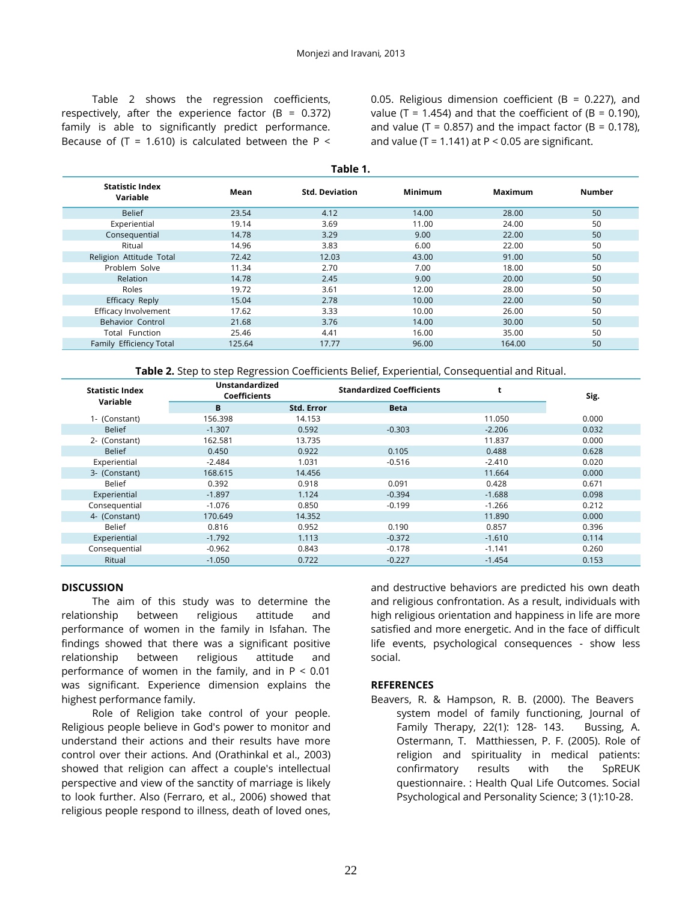Table 2 shows the regression coefficients, respectively, after the experience factor (B =  $0.372$ ) family is able to significantly predict performance. Because of (T = 1.610) is calculated between the P <

0.05. Religious dimension coefficient (B = 0.227), and value (T = 1.454) and that the coefficient of (B = 0.190), and value (T = 0.857) and the impact factor (B = 0.178), and value (T = 1.141) at  $P < 0.05$  are significant.

|  | <b>Statistic Index</b><br>Variable | Mean   | <b>Std. Deviation</b> | <b>Minimum</b> | Maximum | Number |  |  |  |  |
|--|------------------------------------|--------|-----------------------|----------------|---------|--------|--|--|--|--|
|  | <b>Belief</b>                      | 23.54  | 4.12                  | 14.00          | 28.00   | 50     |  |  |  |  |
|  | Experiential                       | 19.14  | 3.69                  | 11.00          | 24.00   | 50     |  |  |  |  |
|  | Consequential                      | 14.78  | 3.29                  | 9.00           | 22.00   | 50     |  |  |  |  |
|  | Ritual                             | 14.96  | 3.83                  | 6.00           | 22.00   | 50     |  |  |  |  |
|  | Religion Attitude Total            | 72.42  | 12.03                 | 43.00          | 91.00   | 50     |  |  |  |  |
|  | Problem Solve                      | 11.34  | 2.70                  | 7.00           | 18.00   | 50     |  |  |  |  |
|  | Relation                           | 14.78  | 2.45                  | 9.00           | 20.00   | 50     |  |  |  |  |
|  | Roles                              | 19.72  | 3.61                  | 12.00          | 28.00   | 50     |  |  |  |  |
|  | Efficacy Reply                     | 15.04  | 2.78                  | 10.00          | 22.00   | 50     |  |  |  |  |
|  | Efficacy Involvement               | 17.62  | 3.33                  | 10.00          | 26.00   | 50     |  |  |  |  |
|  | Behavior Control                   | 21.68  | 3.76                  | 14.00          | 30.00   | 50     |  |  |  |  |
|  | Total Function                     | 25.46  | 4.41                  | 16.00          | 35.00   | 50     |  |  |  |  |
|  | Family Efficiency Total            | 125.64 | 17.77                 | 96.00          | 164.00  | 50     |  |  |  |  |
|  |                                    |        |                       |                |         |        |  |  |  |  |

**Table 1.**

**Table 2.** Step to step Regression Coefficients Belief, Experiential, Consequential and Ritual.

| <b>Statistic Index</b><br>Variable | <b>Unstandardized</b><br><b>Coefficients</b> |                   | <b>Standardized Coefficients</b> | t        | Sig.  |
|------------------------------------|----------------------------------------------|-------------------|----------------------------------|----------|-------|
|                                    | В                                            | <b>Std. Error</b> | <b>Beta</b>                      |          |       |
| 1- (Constant)                      | 156.398                                      | 14.153            |                                  | 11.050   | 0.000 |
| <b>Belief</b>                      | $-1.307$                                     | 0.592             | $-0.303$                         | $-2.206$ | 0.032 |
| 2- (Constant)                      | 162.581                                      | 13.735            |                                  | 11.837   | 0.000 |
| <b>Belief</b>                      | 0.450                                        | 0.922             | 0.105                            | 0.488    | 0.628 |
| Experiential                       | $-2.484$                                     | 1.031             | $-0.516$                         | $-2.410$ | 0.020 |
| 3- (Constant)                      | 168.615                                      | 14.456            |                                  | 11.664   | 0.000 |
| <b>Belief</b>                      | 0.392                                        | 0.918             | 0.091                            | 0.428    | 0.671 |
| Experiential                       | $-1.897$                                     | 1.124             | $-0.394$                         | $-1.688$ | 0.098 |
| Consequential                      | $-1.076$                                     | 0.850             | $-0.199$                         | $-1.266$ | 0.212 |
| 4- (Constant)                      | 170.649                                      | 14.352            |                                  | 11.890   | 0.000 |
| Belief                             | 0.816                                        | 0.952             | 0.190                            | 0.857    | 0.396 |
| Experiential                       | $-1.792$                                     | 1.113             | $-0.372$                         | $-1.610$ | 0.114 |
| Consequential                      | $-0.962$                                     | 0.843             | $-0.178$                         | $-1.141$ | 0.260 |
| Ritual                             | $-1.050$                                     | 0.722             | $-0.227$                         | $-1.454$ | 0.153 |

## **DISCUSSION**

The aim of this study was to determine the relationship between religious attitude and performance of women in the family in Isfahan. The findings showed that there was a significant positive relationship between religious attitude and performance of women in the family, and in P < 0.01 was significant. Experience dimension explains the highest performance family.

Role of Religion take control of your people. Religious people believe in God's power to monitor and understand their actions and their results have more control over their actions. And (Orathinkal et al., 2003) showed that religion can affect a couple's intellectual perspective and view of the sanctity of marriage is likely to look further. Also (Ferraro, et al., 2006) showed that religious people respond to illness, death of loved ones,

and destructive behaviors are predicted his own death and religious confrontation. As a result, individuals with high religious orientation and happiness in life are more satisfied and more energetic. And in the face of difficult life events, psychological consequences - show less social.

## **REFERENCES**

Beavers, R. & Hampson, R. B. (2000). The Beavers system model of family functioning, Journal of Family Therapy, 22(1): 128- 143. Bussing, A. Ostermann, T. Matthiessen, P. F. (2005). Role of religion and spirituality in medical patients: confirmatory results with the SpREUK questionnaire. : Health Qual Life Outcomes. Social Psychological and Personality Science; 3 (1):10-28.